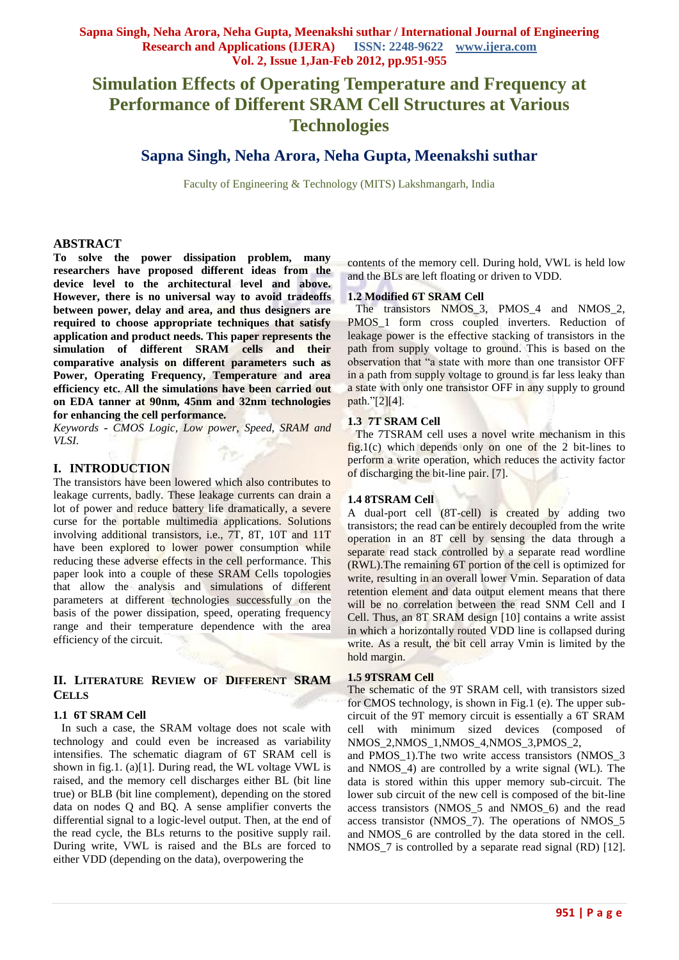# **Simulation Effects of Operating Temperature and Frequency at Performance of Different SRAM Cell Structures at Various Technologies**

## **Sapna Singh, Neha Arora, Neha Gupta, Meenakshi suthar**

Faculty of Engineering & Technology (MITS) Lakshmangarh, India

### **ABSTRACT**

**To solve the power dissipation problem, many researchers have proposed different ideas from the device level to the architectural level and above. However, there is no universal way to avoid tradeoffs between power, delay and area, and thus designers are required to choose appropriate techniques that satisfy application and product needs. This paper represents the simulation of different SRAM cells and their comparative analysis on different parameters such as Power, Operating Frequency, Temperature and area efficiency etc. All the simulations have been carried out on EDA tanner at 90nm, 45nm and 32nm technologies for enhancing the cell performance.**

*Keywords* **-** *CMOS Logic, Low power, Speed, SRAM and VLSI.*

## **I. INTRODUCTION**

The transistors have been lowered which also contributes to leakage currents, badly. These leakage currents can drain a lot of power and reduce battery life dramatically, a severe curse for the portable multimedia applications. Solutions involving additional transistors, i.e., 7T, 8T, 10T and 11T have been explored to lower power consumption while reducing these adverse effects in the cell performance. This paper look into a couple of these SRAM Cells topologies that allow the analysis and simulations of different parameters at different technologies successfully on the basis of the power dissipation, speed, operating frequency range and their temperature dependence with the area efficiency of the circuit.

## **II. LITERATURE REVIEW OF DIFFERENT SRAM CELLS**

#### **1.1 6T SRAM Cell**

In such a case, the SRAM voltage does not scale with technology and could even be increased as variability intensifies. The schematic diagram of 6T SRAM cell is shown in fig.1. (a)[1]. During read, the WL voltage VWL is raised, and the memory cell discharges either BL (bit line true) or BLB (bit line complement), depending on the stored data on nodes Q and BQ. A sense amplifier converts the differential signal to a logic-level output. Then, at the end of the read cycle, the BLs returns to the positive supply rail. During write, VWL is raised and the BLs are forced to either VDD (depending on the data), overpowering the

contents of the memory cell. During hold, VWL is held low and the BLs are left floating or driven to VDD.

### **1.2 Modified 6T SRAM Cell**

The transistors NMOS<sub>2</sub>, PMOS<sub>2</sub> and NMOS<sub>2</sub>, PMOS 1 form cross coupled inverters. Reduction of leakage power is the effective stacking of transistors in the path from supply voltage to ground. This is based on the observation that "a state with more than one transistor OFF in a path from supply voltage to ground is far less leaky than a state with only one transistor OFF in any supply to ground path."[2][4].

#### **1.3 7T SRAM Cell**

The 7TSRAM cell uses a novel write mechanism in this fig.1(c) which depends only on one of the 2 bit-lines to perform a write operation, which reduces the activity factor of discharging the bit-line pair. [7].

#### **1.4 8TSRAM Cell**

A dual-port cell (8T-cell) is created by adding two transistors; the read can be entirely decoupled from the write operation in an 8T cell by sensing the data through a separate read stack controlled by a separate read wordline (RWL).The remaining 6T portion of the cell is optimized for write, resulting in an overall lower Vmin. Separation of data retention element and data output element means that there will be no correlation between the read SNM Cell and I Cell. Thus, an 8T SRAM design [10] contains a write assist in which a horizontally routed VDD line is collapsed during write. As a result, the bit cell array Vmin is limited by the hold margin.

#### **1.5 9TSRAM Cell**

The schematic of the 9T SRAM cell, with transistors sized for CMOS technology, is shown in Fig.1 (e). The upper subcircuit of the 9T memory circuit is essentially a 6T SRAM cell with minimum sized devices (composed NMOS\_2,NMOS\_1,NMOS\_4,NMOS\_3,PMOS\_2,

and PMOS\_1).The two write access transistors (NMOS\_3 and NMOS\_4) are controlled by a write signal (WL). The data is stored within this upper memory sub-circuit. The lower sub circuit of the new cell is composed of the bit-line access transistors (NMOS\_5 and NMOS\_6) and the read access transistor (NMOS\_7). The operations of NMOS\_5 and NMOS\_6 are controlled by the data stored in the cell. NMOS\_7 is controlled by a separate read signal (RD) [12].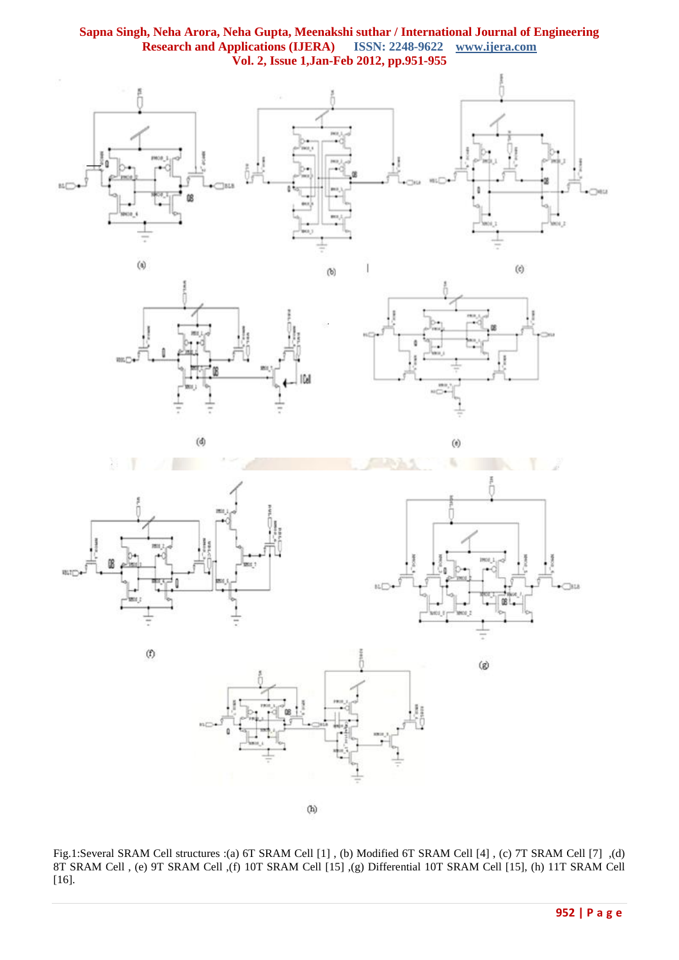## **Sapna Singh, Neha Arora, Neha Gupta, Meenakshi suthar / International Journal of Engineering Research and Applications (IJERA) Vol. 2, Issue 1,Jan-Feb 2012, pp.951-955**





 $(d)$ 



 $\left(\rlap{-}\right)$ 



 $(\mathbf{f})$ 



 $\circledast$ 



 $(h)$ 

Fig.1:Several SRAM Cell structures :(a) 6T SRAM Cell [1] , (b) Modified 6T SRAM Cell [4] , (c) 7T SRAM Cell [7] ,(d) 8T SRAM Cell , (e) 9T SRAM Cell ,(f) 10T SRAM Cell [15] ,(g) Differential 10T SRAM Cell [15], (h) 11T SRAM Cell [16].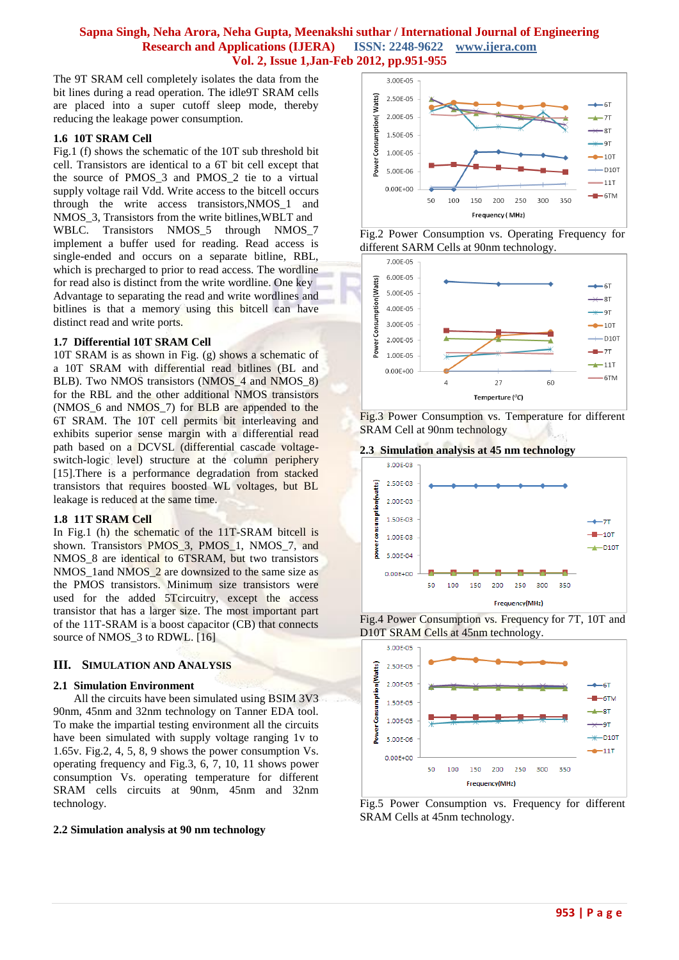## **Sapna Singh, Neha Arora, Neha Gupta, Meenakshi suthar / International Journal of Engineering Research and Applications (IJERA) ISSN: 2248-9622 www.ijera.com Vol. 2, Issue 1,Jan-Feb 2012, pp.951-955**

The 9T SRAM cell completely isolates the data from the bit lines during a read operation. The idle9T SRAM cells are placed into a super cutoff sleep mode, thereby reducing the leakage power consumption.

#### **1.6 10T SRAM Cell**

Fig.1 (f) shows the schematic of the 10T sub threshold bit cell. Transistors are identical to a 6T bit cell except that the source of PMOS\_3 and PMOS\_2 tie to a virtual supply voltage rail Vdd. Write access to the bitcell occurs through the write access transistors,NMOS\_1 and NMOS\_3, Transistors from the write bitlines,WBLT and WBLC. Transistors NMOS\_5 through NMOS\_7 implement a buffer used for reading. Read access is single-ended and occurs on a separate bitline, RBL, which is precharged to prior to read access. The wordline for read also is distinct from the write wordline. One key Advantage to separating the read and write wordlines and bitlines is that a memory using this bitcell can have distinct read and write ports.

#### **1.7 Differential 10T SRAM Cell**

10T SRAM is as shown in Fig. (g) shows a schematic of a 10T SRAM with differential read bitlines (BL and BLB). Two NMOS transistors (NMOS\_4 and NMOS\_8) for the RBL and the other additional NMOS transistors (NMOS\_6 and NMOS\_7) for BLB are appended to the 6T SRAM. The 10T cell permits bit interleaving and exhibits superior sense margin with a differential read path based on a DCVSL (differential cascade voltageswitch-logic level) structure at the column periphery [15]. There is a performance degradation from stacked transistors that requires boosted WL voltages, but BL leakage is reduced at the same time.

## **1.8 11T SRAM Cell**

In Fig.1 (h) the schematic of the 11T-SRAM bitcell is shown. Transistors PMOS\_3, PMOS\_1, NMOS\_7, and NMOS 8 are identical to 6TSRAM, but two transistors NMOS\_1and NMOS\_2 are downsized to the same size as the PMOS transistors. Minimum size transistors were used for the added 5Tcircuitry, except the access transistor that has a larger size. The most important part of the 11T-SRAM is a boost capacitor (CB) that connects source of NMOS\_3 to RDWL. [16]

## **III. SIMULATION AND ANALYSIS**

#### **2.1 Simulation Environment**

All the circuits have been simulated using BSIM 3V3 90nm, 45nm and 32nm technology on Tanner EDA tool. To make the impartial testing environment all the circuits have been simulated with supply voltage ranging 1v to 1.65v. Fig.2, 4, 5, 8, 9 shows the power consumption Vs. operating frequency and Fig.3, 6, 7, 10, 11 shows power consumption Vs. operating temperature for different SRAM cells circuits at 90nm, 45nm and 32nm technology.

## **2.2 Simulation analysis at 90 nm technology**







Fig.3 Power Consumption vs. Temperature for different SRAM Cell at 90nm technology

#### **2.3 Simulation analysis at 45 nm technology**







Fig.5 Power Consumption vs. Frequency for different SRAM Cells at 45nm technology.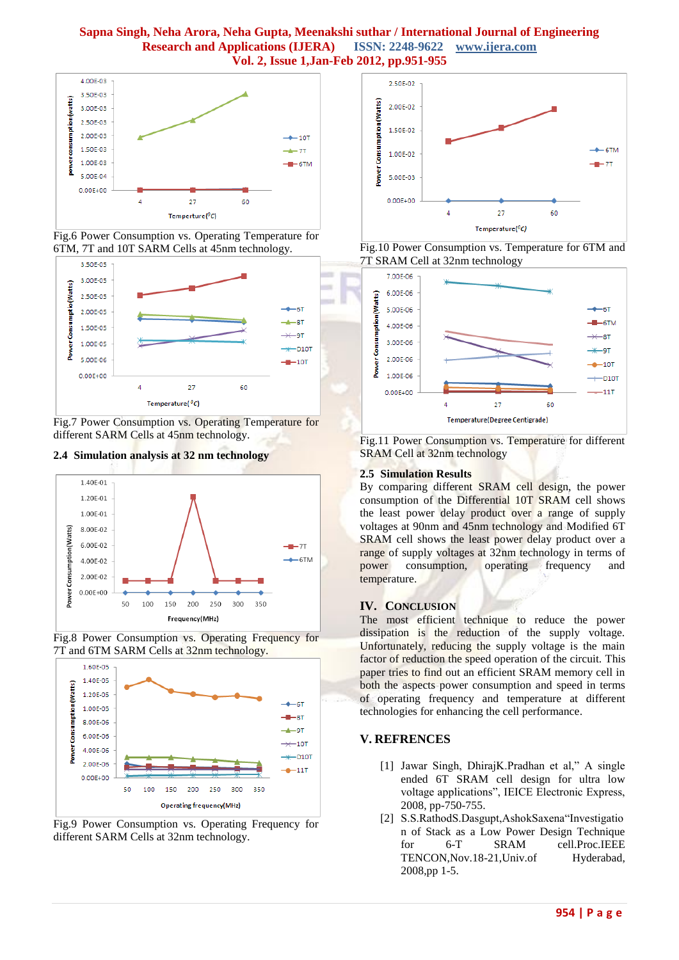## **Sapna Singh, Neha Arora, Neha Gupta, Meenakshi suthar / International Journal of Engineering Research and Applications (IJERA) ISSN: 2248-9622 www.ijera.com Vol. 2, Issue 1,Jan-Feb 2012, pp.951-955**



Fig.6 Power Consumption vs. Operating Temperature for 6TM, 7T and 10T SARM Cells at 45nm technology.



Fig.7 Power Consumption vs. Operating Temperature for different SARM Cells at 45nm technology.









Fig.9 Power Consumption vs. Operating Frequency for different SARM Cells at 32nm technology*.*



Fig.10 Power Consumption vs. Temperature for 6TM and 7T SRAM Cell at 32nm technology



Fig.11 Power Consumption vs. Temperature for different SRAM Cell at 32nm technology

## **2.5 Simulation Results**

By comparing different SRAM cell design, the power consumption of the Differential 10T SRAM cell shows the least power delay product over a range of supply voltages at 90nm and 45nm technology and Modified 6T SRAM cell shows the least power delay product over a range of supply voltages at 32nm technology in terms of power consumption, operating frequency and temperature.

## **IV. CONCLUSION**

The most efficient technique to reduce the power dissipation is the reduction of the supply voltage. Unfortunately, reducing the supply voltage is the main factor of reduction the speed operation of the circuit. This paper tries to find out an efficient SRAM memory cell in both the aspects power consumption and speed in terms of operating frequency and temperature at different technologies for enhancing the cell performance.

## **V. REFRENCES**

- [1] Jawar Singh, DhirajK.Pradhan et al," A single ended 6T SRAM cell design for ultra low voltage applications", IEICE Electronic Express, 2008, pp-750-755.
- [2] S.S.RathodS.Dasgupt,AshokSaxena"Investigatio n of Stack as a Low Power Design Technique for 6-T SRAM cell.Proc.IEEE TENCON, Nov. 18-21, Univ. of Hyderabad, 2008,pp 1-5.